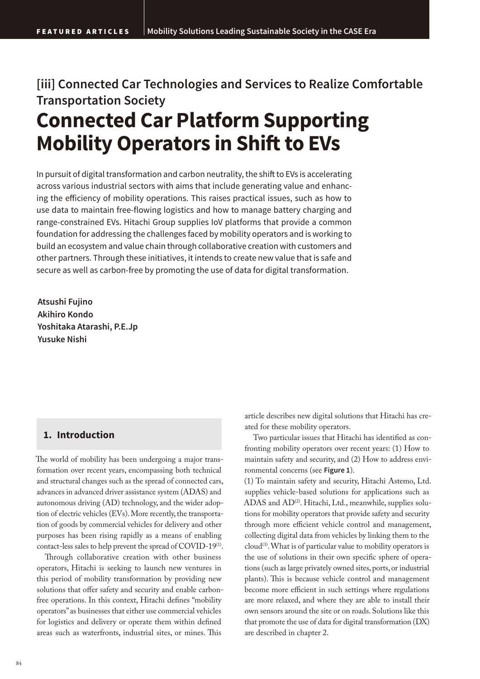## **[iii] Connected Car Technologies and Services to Realize Comfortable Transportation Society**

# **Connected Car Platform Supporting Mobility Operators in Shift to EVs**

In pursuit of digital transformation and carbon neutrality, the shift to EVs is accelerating across various industrial sectors with aims that include generating value and enhancing the efficiency of mobility operations. This raises practical issues, such as how to use data to maintain free-flowing logistics and how to manage battery charging and range-constrained EVs. Hitachi Group supplies IoV platforms that provide a common foundation for addressing the challenges faced by mobility operators and is working to build an ecosystem and value chain through collaborative creation with customers and other partners. Through these initiatives, it intends to create new value that is safe and secure as well as carbon-free by promoting the use of data for digital transformation.

**Atsushi Fujino Akihiro Kondo Yoshitaka Atarashi, P.E.Jp Yusuke Nishi**

## **1. Introduction**

The world of mobility has been undergoing a major transformation over recent years, encompassing both technical and structural changes such as the spread of connected cars, advances in advanced driver assistance system (ADAS) and autonomous driving (AD) technology, and the wider adoption of electric vehicles (EVs). More recently, the transportation of goods by commercial vehicles for delivery and other purposes has been rising rapidly as a means of enabling contact-less sales to help prevent the spread of COVID-19<sup>(1)</sup>.

Through collaborative creation with other business operators, Hitachi is seeking to launch new ventures in this period of mobility transformation by providing new solutions that offer safety and security and enable carbonfree operations. In this context, Hitachi defines "mobility operators" as businesses that either use commercial vehicles for logistics and delivery or operate them within defined areas such as waterfronts, industrial sites, or mines. This

article describes new digital solutions that Hitachi has created for these mobility operators.

Two particular issues that Hitachi has identified as confronting mobility operators over recent years: (1) How to maintain safety and security, and (2) How to address environmental concerns (see **Figure 1**).

(1) To maintain safety and security, Hitachi Astemo, Ltd. supplies vehicle-based solutions for applications such as ADAS and AD<sup>(2)</sup>. Hitachi, Ltd., meanwhile, supplies solutions for mobility operators that provide safety and security through more efficient vehicle control and management, collecting digital data from vehicles by linking them to the  $cloud^{(3)}$ . What is of particular value to mobility operators is the use of solutions in their own specific sphere of operations (such as large privately owned sites, ports, or industrial plants). This is because vehicle control and management become more efficient in such settings where regulations are more relaxed, and where they are able to install their own sensors around the site or on roads. Solutions like this that promote the use of data for digital transformation (DX) are described in chapter 2.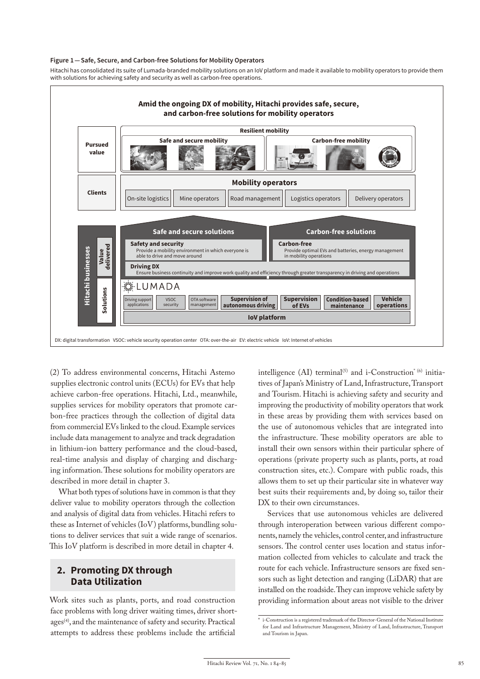#### **Figure 1 — Safe, Secure, and Carbon-free Solutions for Mobility Operators**

Hitachi has consolidated its suite of Lumada-branded mobility solutions on an IoV platform and made it available to mobility operators to provide them with solutions for achieving safety and security as well as carbon-free operations.



(2) To address environmental concerns, Hitachi Astemo supplies electronic control units (ECUs) for EVs that help achieve carbon-free operations. Hitachi, Ltd., meanwhile, supplies services for mobility operators that promote carbon-free practices through the collection of digital data from commercial EVs linked to the cloud. Example services include data management to analyze and track degradation in lithium-ion battery performance and the cloud-based, real-time analysis and display of charging and discharging information. These solutions for mobility operators are described in more detail in chapter 3.

What both types of solutions have in common is that they deliver value to mobility operators through the collection and analysis of digital data from vehicles. Hitachi refers to these as Internet of vehicles (IoV) platforms, bundling solutions to deliver services that suit a wide range of scenarios. This IoV platform is described in more detail in chapter 4.

## **2. Promoting DX through Data Utilization**

Work sites such as plants, ports, and road construction face problems with long driver waiting times, driver shortages<sup>(4)</sup>, and the maintenance of safety and security. Practical attempts to address these problems include the artificial

intelligence (AI) terminal<sup>(5)</sup> and i-Construction<sup>\* (6)</sup> initiatives of Japan's Ministry of Land, Infrastructure, Transport and Tourism. Hitachi is achieving safety and security and improving the productivity of mobility operators that work in these areas by providing them with services based on the use of autonomous vehicles that are integrated into the infrastructure. These mobility operators are able to install their own sensors within their particular sphere of operations (private property such as plants, ports, at road construction sites, etc.). Compare with public roads, this allows them to set up their particular site in whatever way best suits their requirements and, by doing so, tailor their DX to their own circumstances.

Services that use autonomous vehicles are delivered through interoperation between various different components, namely the vehicles, control center, and infrastructure sensors. The control center uses location and status information collected from vehicles to calculate and track the route for each vehicle. Infrastructure sensors are fixed sensors such as light detection and ranging (LiDAR) that are installed on the roadside. They can improve vehicle safety by providing information about areas not visible to the driver

<sup>\*</sup> i-Construction is a registered trademark of the Director-General of the National Institute for Land and Infrastructure Management, Ministry of Land, Infrastructure, Transport and Tourism in Japan.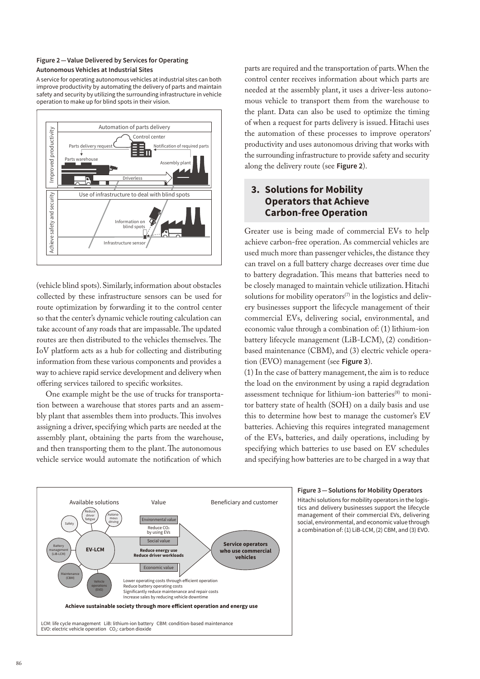## **Figure 2 — Value Delivered by Services for Operating Autonomous Vehicles at Industrial Sites**

A service for operating autonomous vehicles at industrial sites can both improve productivity by automating the delivery of parts and maintain safety and security by utilizing the surrounding infrastructure in vehicle operation to make up for blind spots in their vision.



(vehicle blind spots). Similarly, information about obstacles collected by these infrastructure sensors can be used for route optimization by forwarding it to the control center so that the center's dynamic vehicle routing calculation can take account of any roads that are impassable. The updated routes are then distributed to the vehicles themselves. The IoV platform acts as a hub for collecting and distributing information from these various components and provides a way to achieve rapid service development and delivery when offering services tailored to specific worksites.

One example might be the use of trucks for transportation between a warehouse that stores parts and an assembly plant that assembles them into products. This involves assigning a driver, specifying which parts are needed at the assembly plant, obtaining the parts from the warehouse, and then transporting them to the plant. The autonomous vehicle service would automate the notification of which

parts are required and the transportation of parts. When the control center receives information about which parts are needed at the assembly plant, it uses a driver-less autonomous vehicle to transport them from the warehouse to the plant. Data can also be used to optimize the timing of when a request for parts delivery is issued. Hitachi uses the automation of these processes to improve operators' productivity and uses autonomous driving that works with the surrounding infrastructure to provide safety and security along the delivery route (see **Figure 2**).

## **3. Solutions for Mobility Operators that Achieve Carbon-free Operation**

Greater use is being made of commercial EVs to help achieve carbon-free operation. As commercial vehicles are used much more than passenger vehicles, the distance they can travel on a full battery charge decreases over time due to battery degradation. This means that batteries need to be closely managed to maintain vehicle utilization. Hitachi solutions for mobility operators<sup> $(7)$ </sup> in the logistics and delivery businesses support the lifecycle management of their commercial EVs, delivering social, environmental, and economic value through a combination of: (1) lithium-ion battery lifecycle management (LiB-LCM), (2) conditionbased maintenance (CBM), and (3) electric vehicle operation (EVO) management (see **Figure 3**).

(1) In the case of battery management, the aim is to reduce the load on the environment by using a rapid degradation assessment technique for lithium-ion batteries<sup>(8)</sup> to monitor battery state of health (SOH) on a daily basis and use this to determine how best to manage the customer's EV batteries. Achieving this requires integrated management of the EVs, batteries, and daily operations, including by specifying which batteries to use based on EV schedules and specifying how batteries are to be charged in a way that



#### **Figure 3 — Solutions for Mobility Operators**

Hitachi solutions for mobility operators in the logistics and delivery businesses support the lifecycle management of their commercial EVs, delivering social, environmental, and economic value through a combination of: (1) LiB-LCM, (2) CBM, and (3) EVO.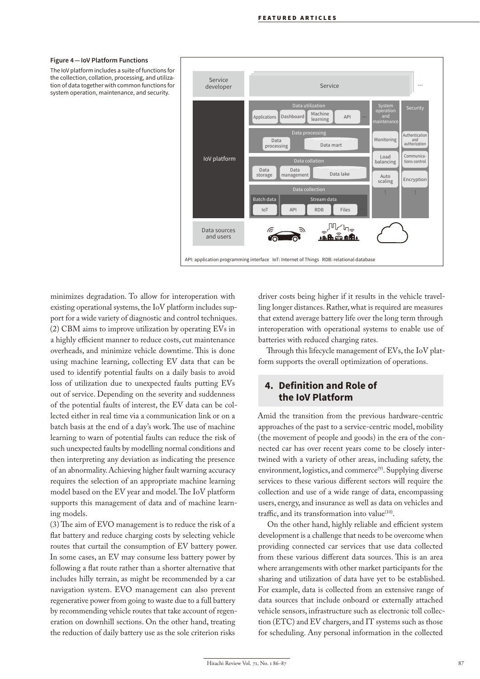#### **Figure 4 — IoV Platform Functions**

The IoV platform includes a suite of functions for the collection, collation, processing, and utilization of data together with common functions for system operation, maintenance, and security.



minimizes degradation. To allow for interoperation with existing operational systems, the IoV platform includes support for a wide variety of diagnostic and control techniques. (2) CBM aims to improve utilization by operating EVs in a highly efficient manner to reduce costs, cut maintenance overheads, and minimize vehicle downtime. This is done using machine learning, collecting EV data that can be used to identify potential faults on a daily basis to avoid loss of utilization due to unexpected faults putting EVs out of service. Depending on the severity and suddenness of the potential faults of interest, the EV data can be collected either in real time via a communication link or on a batch basis at the end of a day's work. The use of machine learning to warn of potential faults can reduce the risk of such unexpected faults by modelling normal conditions and then interpreting any deviation as indicating the presence of an abnormality. Achieving higher fault warning accuracy requires the selection of an appropriate machine learning model based on the EV year and model. The IoV platform supports this management of data and of machine learning models.

 $(3)$  The aim of EVO management is to reduce the risk of a flat battery and reduce charging costs by selecting vehicle routes that curtail the consumption of EV battery power. In some cases, an EV may consume less battery power by following a flat route rather than a shorter alternative that includes hilly terrain, as might be recommended by a car navigation system. EVO management can also prevent regenerative power from going to waste due to a full battery by recommending vehicle routes that take account of regeneration on downhill sections. On the other hand, treating the reduction of daily battery use as the sole criterion risks

driver costs being higher if it results in the vehicle travelling longer distances. Rather, what is required are measures that extend average battery life over the long term through interoperation with operational systems to enable use of batteries with reduced charging rates.

Through this lifecycle management of EVs, the IoV platform supports the overall optimization of operations.

## **4. Definition and Role of the IoV Platform**

Amid the transition from the previous hardware-centric approaches of the past to a service-centric model, mobility (the movement of people and goods) in the era of the connected car has over recent years come to be closely intertwined with a variety of other areas, including safety, the environment, logistics, and commerce<sup>(9)</sup>. Supplying diverse services to these various different sectors will require the collection and use of a wide range of data, encompassing users, energy, and insurance as well as data on vehicles and traffic, and its transformation into value $(10)$ .

On the other hand, highly reliable and efficient system development is a challenge that needs to be overcome when providing connected car services that use data collected from these various different data sources. This is an area where arrangements with other market participants for the sharing and utilization of data have yet to be established. For example, data is collected from an extensive range of data sources that include onboard or externally attached vehicle sensors, infrastructure such as electronic toll collection (ETC) and EV chargers, and IT systems such as those for scheduling. Any personal information in the collected